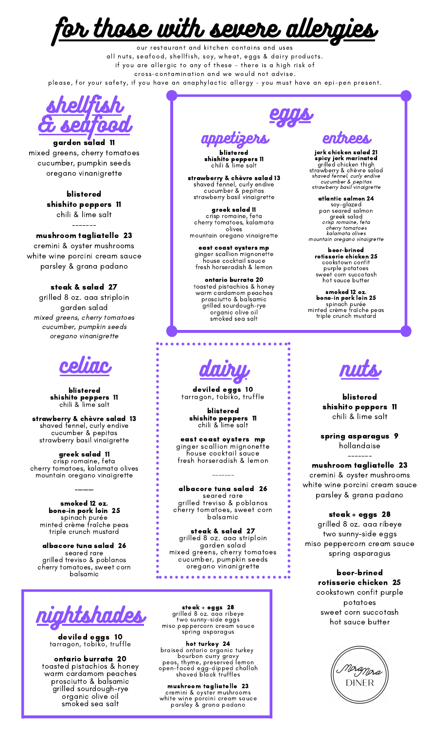$\bm{\hat{c}}$ r those with severe aller

our restaurant and kitchen contains and uses all nuts, seafood, shellfish, soy, wheat, eggs & dairy products. if you are allergic to any of these - there is a high risk of cross-contamination and we would not advise. please, for your safety, if you have an anaphylactic allergy - you must have an epi-pen present.



garden salad 11 mixed greens, cherry tomatoes cucumber, pumpkin seeds oregano vinanigrette

> blistered shishito peppers 11 chili & lime salt

#### ------ mushroom tagliatelle 23

cremini & oyster mushrooms white wine porcini cream sauce parsley & grana padano

steak & salad 27

grilled 8 oz. aaa striploin garden salad mixed greens, cherry tomatoes cucumber, pumpkin seeds oregano vinanigrette



blistered shishito peppers 11 chili & lime salt

strawberry & chèvre salad 13 shaved fennel, curly endive cucumber & pepitas strawberry basil vinaigrette

greek salad 11 crisp romaine, feta cherry tomatoes, kalamata olives mountain oregano vinaigrette

-------

smoked 12 oz. bone-in pork loin 25 spinach purée minted crème fraîche peas triple crunch mustard

albacore tuna salad 26 seared rare grilled treviso & poblanos cherry tomatoes, sweet corn balsamic



### deviled eggs 10 tarragon, tobiko, truffle

ontario burrata 20 toasted pistachios & honey warm cardamom peaches prosciutto & balsamic grilled sourdough-rye organic olive oil smoked sea salt

enns, appetizers entrees

blistered shishito peppers 11 chili & lime salt

strawberry & chèvre salad 13 shaved fennel, curly endive cucumber & pepitas strawberry basil vinaigrette

greek salad 11 crisp romaine, feta cherry tomatoes, kalamata olives mountain oregano vinaigrette

east coast oysters mp ginger scallion mignonette house cocktail sauce fresh horseradish & lemon

ontario burrata 20 toasted pistachios & honey warm cardamom peaches prosciutto & balsamic grilled sourdough-rye organic olive oil smoked sea salt

jerk chicken salad 21 spicy jerk marinated grilled chicken thigh strawberry & chèvre salad shaved fennel, curly endive cucumber & pepitas strawberry basil vinaigrette

atlantic salmon 24 soy-glazed pan seared salmon greek salad crisp romaine, feta cherry tomatoes kalamata olives mountain oregano vinaigrette

beer-brined rotisserie chicken 25 cookstown confit purple potatoes sweet corn succotash hot sauce butter

smoked 12 oz. bone-in pork loin 25 spinach purée minted crème fraîche peas triple crunch mustard



deviled eggs 10 tarragon, tobiko, truffle

blistered shishito peppers 11 chili & lime salt

east coast oysters mp ginger scallion mignonette house cocktail sauce fresh horseradish & lemon

albacore tuna salad 26 seared rare grilled treviso & poblanos cherry tomatoes, sweet corn balsamic

-------

steak & salad 27 grilled 8 oz. aaa striploin garden salad mixed greens, cherry tomatoes cucumber, pumpkin seeds oregano vinanigrette

steak + eggs 28 grilled 8 oz. aaa ribeye two sunny-side eggs miso peppercorn cream sauce spring asparagus

hot turkey 24 braised ontario organic turkey bourbon curry gravy peas, thyme, preserved lemon open-faced egg-dipped challah shaved black truffles

mushroom tagliatelle 23 cremini & oyster mushrooms white wine porcini cream sauce parsley & grana padano



blistered shishito peppers 11 chili & lime salt

spring asparagus 9 hollandaise

------ mushroom tagliatelle 23

cremini & oyster mushrooms white wine porcini cream sauce parsley & grana padano

steak + eggs 28

grilled 8 oz. aaa ribeye two sunny-side eggs miso peppercorn cream sauce spring asparagus

> beer-brined rotisserie chicken 25 cookstown confit purple potatoes sweet corn succotash hot sauce butter

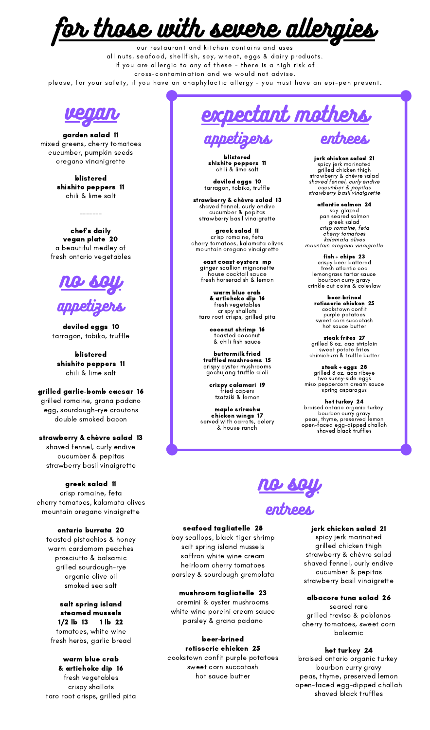or those with severe alle

our restaurant and kitchen contains and uses all nuts, seafood, shellfish, soy, wheat, eggs & dairy products. if you are allergic to any of these - there is a high risk of cross-contamination and we would not advise. please, for your safety, if you have an anaphylactic allergy - you must have an epi-pen present.



garden salad 11 mixed greens, cherry tomatoes cucumber, pumpkin seeds oregano vinanigrette

> blistered shishito peppers 11 chili & lime salt

chef's daily vegan plate 20 a beautiful medley of fresh ontario vegetables

-------



deviled eggs 10 tarragon, tobiko, truffle

blistered shishito peppers 11 chili & lime salt

#### grilled garlic-bomb caesar 16 grilled romaine, grana padano egg, sourdough-rye croutons

double smoked bacon strawberry & chèvre salad 13

shaved fennel, curly endive cucumber & pepitas strawberry basil vinaigrette

## greek salad 11

crisp romaine, feta cherry tomatoes, kalamata olives mountain oregano vinaigrette

ontario burrata 20 toasted pistachios & honey warm cardamom peaches prosciutto & balsamic grilled sourdough-rye organic olive oil smoked sea salt

salt spring island steamed mussels 1/2 lb 13 1 lb 22 tomatoes, white wine fresh herbs, garlic bread

warm blue crab & artichoke dip 16 fresh vegetables crispy shallots taro root crisps, grilled pita

vegan expectant mothers

blistered shishito peppers 11 chili & lime salt

deviled eggs 10 tarragon, tobiko, truffle

strawberry & chèvre salad 13 shaved fennel, curly endive cucumber & pepitas strawberry basil vinaigrette

greek salad 11 crisp romaine, feta cherry tomatoes, kalamata olives mountain oregano vinaigrette

east coast oysters mp ginger scallion mignonette house cocktail sauce fresh horseradish & lemon

warm blue crab & artichoke dip 16 fresh vegetables crispy shallots taro root crisps, grilled pita

> coconut shrimp 16 toasted coconut & chili fish sauce

buttermilk fried truffled mushrooms 15 crispy oyster mushrooms gochujang truffle aioli

crispy calamari 19 fried capers tzatziki & lemon

maple sriracha chicken wings 17 served with carrots, celery & house ranch

jerk chicken salad 21 spicy jerk marinated grilled chicken thigh strawberry & chèvre salad shaved fennel, curly endive cucumber & pepitas strawberry basil vinaigrette

entrees

atlantic salmon 24 soy-glazed pan seared salmon greek salad crisp romaine, feta cherry tomatoes kalamata olives mountain oregano vinaigrette

fish + chips 23 crispy beer battered fresh atlantic cod lemongrass tartar sauce bourbon curry gravy crinkle cut coins & coleslaw

> beer-brined rotisserie chicken 25 cookstown confit purple potatoes sweet corn succotash hot sauce butter

steak frites 27 grilled 8 oz. aaa striploin sweet potato frites chimichurri & truffle butter

steak + eggs 28 grilled 8 oz. aaa ribeye two sunny-side eggs miso peppercorn cream sauce spring asparagus

hot turkey 24 braised ontario organic turkey bourbon curry gravy peas, thyme, preserved lemon open-faced egg-dipped challah shaved black truffles



## seafood tagliatelle 28

bay scallops, black tiger shrimp salt spring island mussels saffron white wine cream heirloom cherry tomatoes parsley & sourdough gremolata

## mushroom tagliatelle 23

cremini & oyster mushrooms white wine porcini cream sauce parsley & grana padano

beer-brined rotisserie chicken 25 cookstown confit purple potatoes sweet corn succotash hot sauce butter

## jerk chicken salad 21 spicy jerk marinated grilled chicken thigh

strawberry & chèvre salad shaved fennel, curly endive cucumber & pepitas strawberry basil vinaigrette

## albacore tuna salad 26

seared rare grilled treviso & poblanos cherry tomatoes, sweet corn balsamic

## hot turkey 24

braised ontario organic turkey bourbon curry gravy peas, thyme, preserved lemon open-faced egg-dipped challah shaved black truffles